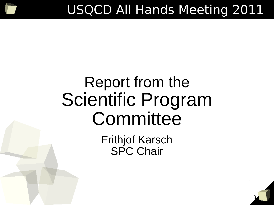# Report from the Scientific Program Committee

Frithjof Karsch SPC Chair

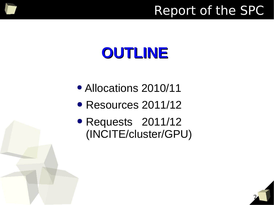### Report of the SPC

# **OUTLINE**

- Allocations 2010/11
- Resources 2011/12
- Requests 2011/12 (INCITE/cluster/GPU)

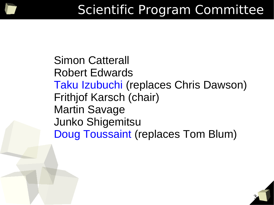

3

Simon Catterall Robert Edwards Taku Izubuchi (replaces Chris Dawson) Frithjof Karsch (chair) Martin Savage Junko Shigemitsu Doug Toussaint (replaces Tom Blum)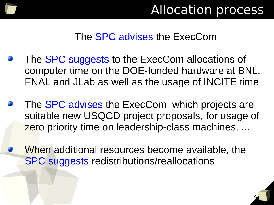

#### The SPC advises the ExecCom

- The **SPC** suggests to the ExecCom allocations of computer time on the DOE-funded hardware at BNL, FNAL and JLab as well as the usage of INCITE time
- The **SPC advises the ExecCom which projects are** suitable new USQCD project proposals, for usage of zero priority time on leadership-class machines, ...
- When additional resources become available, the SPC suggests redistributions/reallocations

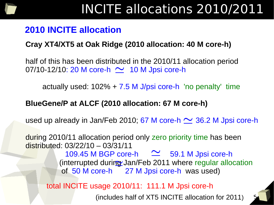

#### **2010 INCITE allocation**

#### **Cray XT4/XT5 at Oak Ridge (2010 allocation: 40 M core-h)**

 half of this has been distributed in the 2010/11 allocation period  $07/10-12/10$ : 20 M core-h  $\sim$  10 M Jpsi core-h

actually used: 102% + 7.5 M J/psi core-h 'no penalty' time

#### **BlueGene/P at ALCF (2010 allocation: 67 M core-h)**

used up already in Jan/Feb 2010; 67 M core-h  $\approx$  36.2 M Jpsi core-h

 during 2010/11 allocation period only zero priority time has been distributed: 03/22/10 – 03/31/11

> $109.45$  M BGP core-h  $\approx$  59.1 M Jpsi core-h (interrupted during Jan/Feb 2011 where regular allocation of 50 M core-h 27 M Jpsi core-h was used)

total INCITE usage 2010/11: 111.1 M Jpsi core-h

(includes half of XT5 INCITE allocation for 2011)

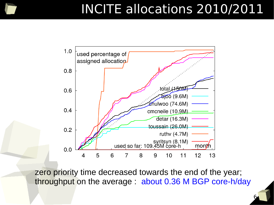### INCITE allocations 2010/2011



zero priority time decreased towards the end of the year; throughput on the average : about 0.36 M BGP core-h/day

6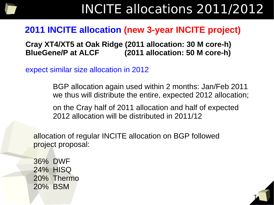

 ${\mathcal{I}}$ 

#### **2011 INCITE allocation (new 3-year INCITE project)**

 **Cray XT4/XT5 at Oak Ridge (2011 allocation: 30 M core-h) BlueGene/P at ALCF (2011 allocation: 50 M core-h)**

expect similar size allocation in 2012

 BGP allocation again used within 2 months: Jan/Feb 2011 we thus will distribute the entire, expected 2012 allocation;

 on the Cray half of 2011 allocation and half of expected 2012 allocation will be distributed in 2011/12

 allocation of regular INCITE allocation on BGP followed project proposal:

36% DWF 24% HISQ 20% Thermo 20% BSM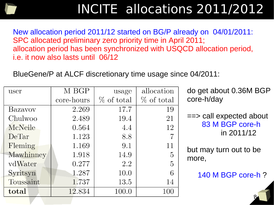## INCITE allocations 2011/2012

New allocation period 2011/12 started on BG/P already on 04/01/2011: SPC allocated preliminary zero priority time in April 2011; allocation period has been synchronized with USQCD allocation period, i.e. it now also lasts until 06/12

BlueGene/P at ALCF discretionary time usage since 04/2011:

| user      | M BGP      | usage         | allocation     | do get about 0.36M BGP            |
|-----------|------------|---------------|----------------|-----------------------------------|
|           | core-hours | $\%$ of total | $%$ of total   | core-h/day                        |
| Bazavov   | 2.269      | 17.7          | 19             |                                   |
| Chulwoo   | 2.489      | 19.4          | 21             | $\Rightarrow$ call expected about |
| McNeile   | 0.564      | 4.4           | 12             | 83 M BGP core-h                   |
| DeTar     | 1.123      | 8.8           | 7              | in 2011/12                        |
| Fleming   | 1.169      | 9.1           | 11             | but may turn out to be            |
| Mawhinney | 1.918      | 14.9          | $\overline{5}$ | more,                             |
| vdWater   | 0.277      | 2.2           | $\overline{5}$ |                                   |
| Syritsyn  | 1.287      | 10.0          | 6              | 140 M BGP core-h ?                |
| Toussaint | 1.737      | 13.5          | 14             |                                   |
| total     | 12.834     | 100.0         | 100            |                                   |
|           |            |               |                |                                   |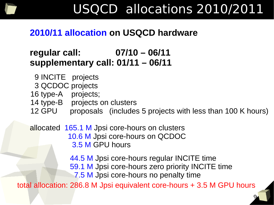

#### **2010/11 allocation on USQCD hardware**

#### **regular call: 07/10 – 06/11 supplementary call: 01/11 – 06/11**

- 9 INCITE projects
- 3 QCDOC projects
- 16 type-A projects;
- 14 type-B projects on clusters
- 12 GPU proposals (includes 5 projects with less than 100 K hours)

allocated 165.1 M Jpsi core-hours on clusters 10.6 M Jpsi core-hours on QCDOC 3.5 M GPU hours

> 44.5 M Jpsi core-hours regular INCITE time 59.1 M Jpsi core-hours zero priority INCITE time 7.5 M Jpsi core-hours no penalty time

> > 9

total allocation: 286.8 M Jpsi equivalent core-hours + 3.5 M GPU hours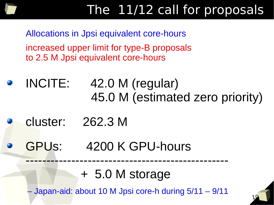

Allocations in Jpsi equivalent core-hours increased upper limit for type-B proposals to 2.5 M Jpsi equivalent core-hours

INCITE: 42.0 M (regular) 45.0 M (estimated zero priority)

cluster: 262.3 M

GPUs: 4200 K GPU-hours

+ 5.0 M storage

-------------------------------------------------

– Japan-aid: about 10 M Jpsi core-h during 5/11 – 9/11

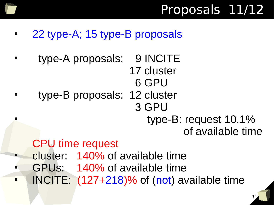

- 22 type-A; 15 type-B proposals
- type-A proposals: 9 INCITE 17 cluster 6 GPU • type-B proposals: 12 cluster
	- 3 GPU
		- type-B: request 10.1% of available time

11

### CPU time request

- cluster: 140% of available time
- GPUs: 140% of available time
- INCITE: (127+218)% of (not) available time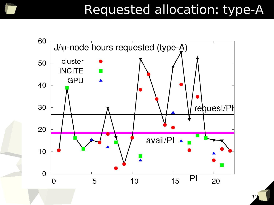### Requested allocation: type-A



12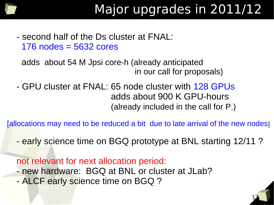ι

13

- second half of the Ds cluster at FNAL: 176 nodes = 5632 cores
	- adds about 54 M Jpsi core-h (already anticipated in our call for proposals)
- - GPU cluster at FNAL: 65 node cluster with 128 GPUs adds about 900 K GPU-hours (already included in the call for P.)

[allocations may need to be reduced a bit due to late arrival of the new nodes]

- early science time on BGQ prototype at BNL starting 12/11 ?

not relevant for next allocation period: - new hardware: BGQ at BNL or cluster at JLab? - ALCF early science time on BGQ ?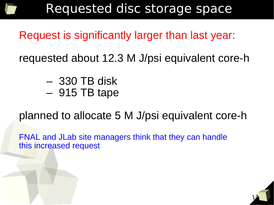### Requested disc storage space

Request is significantly larger than last year:

requested about 12.3 M J/psi equivalent core-h

- 330 TB disk
- 915 TB tape

planned to allocate 5 M J/psi equivalent core-h

14

Ξ

FNAL and JLab site managers think that they can handle this increased request